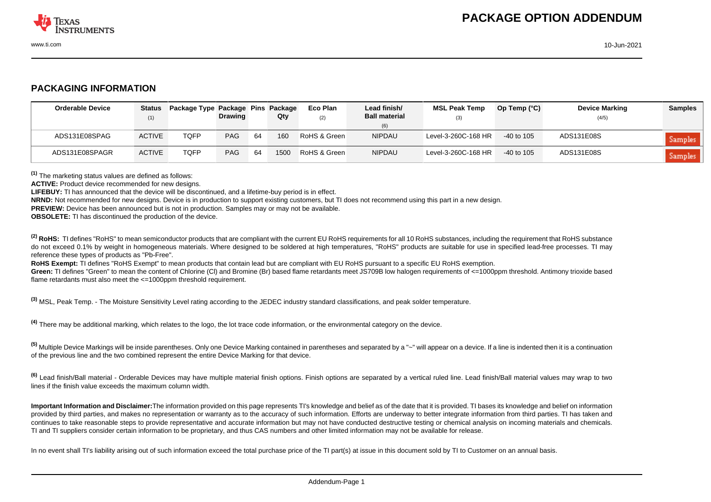

## **PACKAGING INFORMATION**

| <b>Orderable Device</b> | Status        | Package Type Package Pins Package | <b>Drawing</b> |    | Qty  | Eco Plan     | Lead finish/<br><b>Ball material</b> | <b>MSL Peak Temp</b> | Op Temp $(^{\circ}C)$ | <b>Device Marking</b> | <b>Samples</b> |
|-------------------------|---------------|-----------------------------------|----------------|----|------|--------------|--------------------------------------|----------------------|-----------------------|-----------------------|----------------|
|                         | (1)           |                                   |                |    |      | (2)          | (6)                                  | (3)                  |                       | (4/5)                 |                |
| ADS131E08SPAG           | <b>ACTIVE</b> | TQFP                              | <b>PAG</b>     | 64 | 160  | RoHS & Green | <b>NIPDAU</b>                        | Level-3-260C-168 HR  | $-40$ to 105          | ADS131E08S            | Samples        |
| ADS131E08SPAGR          | <b>ACTIVE</b> | <b>TQFP</b>                       | <b>PAG</b>     | 64 | 1500 | RoHS & Green | <b>NIPDAU</b>                        | Level-3-260C-168 HR  | $-40$ to 105          | ADS131E08S            | Samples        |

**(1)** The marketing status values are defined as follows:

**ACTIVE:** Product device recommended for new designs.

**LIFEBUY:** TI has announced that the device will be discontinued, and a lifetime-buy period is in effect.

**NRND:** Not recommended for new designs. Device is in production to support existing customers, but TI does not recommend using this part in a new design.

**PREVIEW:** Device has been announced but is not in production. Samples may or may not be available.

**OBSOLETE:** TI has discontinued the production of the device.

<sup>(2)</sup> RoHS: TI defines "RoHS" to mean semiconductor products that are compliant with the current EU RoHS requirements for all 10 RoHS substances, including the requirement that RoHS substance do not exceed 0.1% by weight in homogeneous materials. Where designed to be soldered at high temperatures. "RoHS" products are suitable for use in specified lead-free processes. TI may reference these types of products as "Pb-Free".

**RoHS Exempt:** TI defines "RoHS Exempt" to mean products that contain lead but are compliant with EU RoHS pursuant to a specific EU RoHS exemption.

Green: TI defines "Green" to mean the content of Chlorine (CI) and Bromine (Br) based flame retardants meet JS709B low halogen requirements of <=1000ppm threshold. Antimony trioxide based flame retardants must also meet the <=1000ppm threshold requirement.

**(3)** MSL, Peak Temp. - The Moisture Sensitivity Level rating according to the JEDEC industry standard classifications, and peak solder temperature.

**(4)** There may be additional marking, which relates to the logo, the lot trace code information, or the environmental category on the device.

**(5)** Multiple Device Markings will be inside parentheses. Only one Device Marking contained in parentheses and separated by a "~" will appear on a device. If a line is indented then it is a continuation of the previous line and the two combined represent the entire Device Marking for that device.

**(6)** Lead finish/Ball material - Orderable Devices may have multiple material finish options. Finish options are separated by a vertical ruled line. Lead finish/Ball material values may wrap to two lines if the finish value exceeds the maximum column width.

**Important Information and Disclaimer:**The information provided on this page represents TI's knowledge and belief as of the date that it is provided. TI bases its knowledge and belief on information provided by third parties, and makes no representation or warranty as to the accuracy of such information. Efforts are underway to better integrate information from third parties. TI has taken and continues to take reasonable steps to provide representative and accurate information but may not have conducted destructive testing or chemical analysis on incoming materials and chemicals. TI and TI suppliers consider certain information to be proprietary, and thus CAS numbers and other limited information may not be available for release.

In no event shall TI's liability arising out of such information exceed the total purchase price of the TI part(s) at issue in this document sold by TI to Customer on an annual basis.